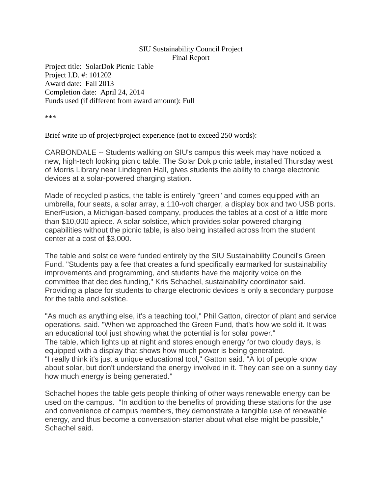## SIU Sustainability Council Project Final Report

Project title: SolarDok Picnic Table Project I.D. #: 101202 Award date: Fall 2013 Completion date: April 24, 2014 Funds used (if different from award amount): Full

\*\*\*

Brief write up of project/project experience (not to exceed 250 words):

CARBONDALE -- Students walking on SIU's campus this week may have noticed a new, high-tech looking picnic table. The Solar Dok picnic table, installed Thursday west of Morris Library near Lindegren Hall, gives students the ability to charge electronic devices at a solar-powered charging station.

Made of recycled plastics, the table is entirely "green" and comes equipped with an umbrella, four seats, a solar array, a 110-volt charger, a display box and two USB ports. EnerFusion, a Michigan-based company, produces the tables at a cost of a little more than \$10,000 apiece. A solar solstice, which provides solar-powered charging capabilities without the picnic table, is also being installed across from the student center at a cost of \$3,000.

The table and solstice were funded entirely by the SIU Sustainability Council's Green Fund. "Students pay a fee that creates a fund specifically earmarked for sustainability improvements and programming, and students have the majority voice on the committee that decides funding," Kris Schachel, sustainability coordinator said. Providing a place for students to charge electronic devices is only a secondary purpose for the table and solstice.

"As much as anything else, it's a teaching tool," Phil Gatton, director of plant and service operations, said. "When we approached the Green Fund, that's how we sold it. It was an educational tool just showing what the potential is for solar power." The table, which lights up at night and stores enough energy for two cloudy days, is equipped with a display that shows how much power is being generated. "I really think it's just a unique educational tool," Gatton said. "A lot of people know about solar, but don't understand the energy involved in it. They can see on a sunny day how much energy is being generated."

Schachel hopes the table gets people thinking of other ways renewable energy can be used on the campus. "In addition to the benefits of providing these stations for the use and convenience of campus members, they demonstrate a tangible use of renewable energy, and thus become a conversation-starter about what else might be possible," Schachel said.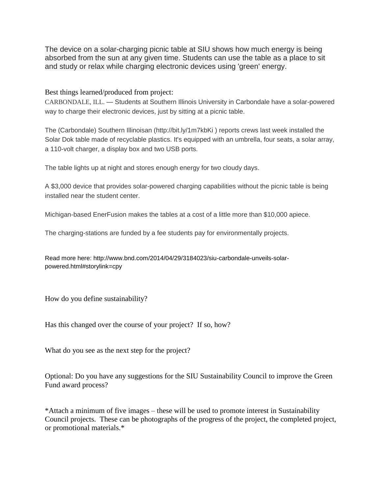The device on a solar-charging picnic table at SIU shows how much energy is being absorbed from the sun at any given time. Students can use the table as a place to sit and study or relax while charging electronic devices using 'green' energy.

Best things learned/produced from project:

CARBONDALE, ILL. — Students at Southern Illinois University in Carbondale have a solar-powered way to charge their electronic devices, just by sitting at a picnic table.

The (Carbondale) Southern Illinoisan (http://bit.ly/1m7kbKi ) reports crews last week installed the Solar Dok table made of recyclable plastics. It's equipped with an umbrella, four seats, a solar array, a 110-volt charger, a display box and two USB ports.

The table lights up at night and stores enough energy for two cloudy days.

A \$3,000 device that provides solar-powered charging capabilities without the picnic table is being installed near the student center.

Michigan-based EnerFusion makes the tables at a cost of a little more than \$10,000 apiece.

The charging-stations are funded by a fee students pay for environmentally projects.

Read more here: http://www.bnd.com/2014/04/29/3184023/siu-carbondale-unveils-solarpowered.html#storylink=cpy

How do you define sustainability?

Has this changed over the course of your project? If so, how?

What do you see as the next step for the project?

Optional: Do you have any suggestions for the SIU Sustainability Council to improve the Green Fund award process?

\*Attach a minimum of five images – these will be used to promote interest in Sustainability Council projects. These can be photographs of the progress of the project, the completed project, or promotional materials.\*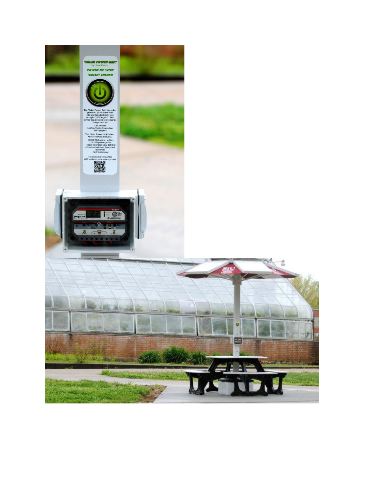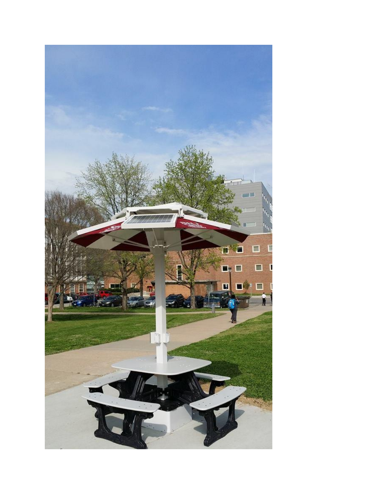